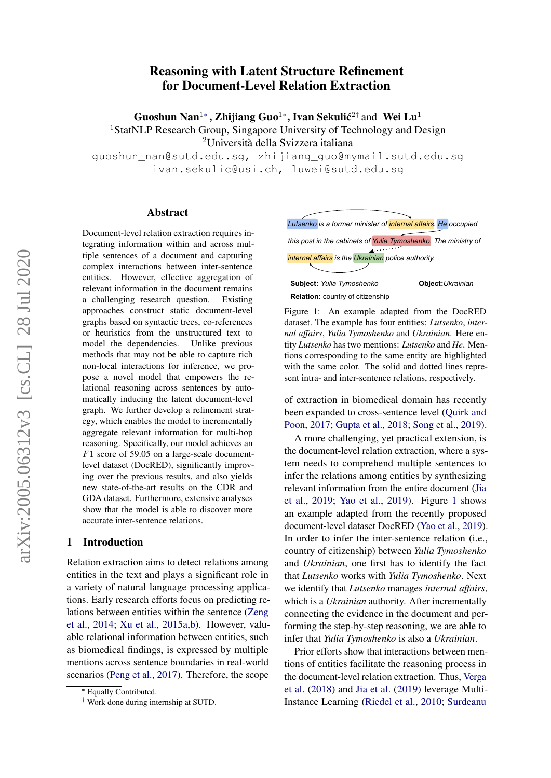# Reasoning with Latent Structure Refinement for Document-Level Relation Extraction

Guoshun Nan<sup>1</sup>\*, Zhijiang Guo<sup>1</sup>\*, Ivan Sekulić<sup>2†</sup> and Wei Lu<sup>1</sup> <sup>1</sup>StatNLP Research Group, Singapore University of Technology and Design <sup>2</sup>Università della Svizzera italiana

guoshun\_nan@sutd.edu.sg, zhijiang\_guo@mymail.sutd.edu.sg ivan.sekulic@usi.ch, luwei@sutd.edu.sg

#### Abstract

Document-level relation extraction requires integrating information within and across multiple sentences of a document and capturing complex interactions between inter-sentence entities. However, effective aggregation of relevant information in the document remains a challenging research question. Existing approaches construct static document-level graphs based on syntactic trees, co-references or heuristics from the unstructured text to model the dependencies. Unlike previous methods that may not be able to capture rich non-local interactions for inference, we propose a novel model that empowers the relational reasoning across sentences by automatically inducing the latent document-level graph. We further develop a refinement strategy, which enables the model to incrementally aggregate relevant information for multi-hop reasoning. Specifically, our model achieves an F1 score of 59.05 on a large-scale documentlevel dataset (DocRED), significantly improving over the previous results, and also yields new state-of-the-art results on the CDR and GDA dataset. Furthermore, extensive analyses show that the model is able to discover more accurate inter-sentence relations.

#### 1 Introduction

Relation extraction aims to detect relations among entities in the text and plays a significant role in a variety of natural language processing applications. Early research efforts focus on predicting relations between entities within the sentence [\(Zeng](#page-11-0) [et al.,](#page-11-0) [2014;](#page-11-0) [Xu et al.,](#page-11-1) [2015a](#page-11-1)[,b\)](#page-11-2). However, valuable relational information between entities, such as biomedical findings, is expressed by multiple mentions across sentence boundaries in real-world scenarios [\(Peng et al.,](#page-10-0) [2017\)](#page-10-0). Therefore, the scope <span id="page-0-0"></span>*Lutsenko is a former minister of internal affairs. He occupied this post in the cabinets of Yulia Tymoshenko. The ministry of internal affairs is the Ukrainian police authority.* **Subject:** *Yulia Tymoshenko* **Object:***Ukrainian* **Relation:** country of citizenship

Figure 1: An example adapted from the DocRED dataset. The example has four entities: *Lutsenko*, *internal affairs*, *Yulia Tymoshenko* and *Ukrainian*. Here entity *Lutsenko* has two mentions: *Lutsenko* and *He*. Mentions corresponding to the same entity are highlighted with the same color. The solid and dotted lines represent intra- and inter-sentence relations, respectively.

of extraction in biomedical domain has recently been expanded to cross-sentence level [\(Quirk and](#page-10-1) [Poon,](#page-10-1) [2017;](#page-10-1) [Gupta et al.,](#page-9-0) [2018;](#page-9-0) [Song et al.,](#page-10-2) [2019\)](#page-10-2).

A more challenging, yet practical extension, is the document-level relation extraction, where a system needs to comprehend multiple sentences to infer the relations among entities by synthesizing relevant information from the entire document [\(Jia](#page-9-1) [et al.,](#page-9-1) [2019;](#page-9-1) [Yao et al.,](#page-11-3) [2019\)](#page-11-3). Figure [1](#page-0-0) shows an example adapted from the recently proposed document-level dataset DocRED [\(Yao et al.,](#page-11-3) [2019\)](#page-11-3). In order to infer the inter-sentence relation (i.e., country of citizenship) between *Yulia Tymoshenko* and *Ukrainian*, one first has to identify the fact that *Lutsenko* works with *Yulia Tymoshenko*. Next we identify that *Lutsenko* manages *internal affairs*, which is a *Ukrainian* authority. After incrementally connecting the evidence in the document and performing the step-by-step reasoning, we are able to infer that *Yulia Tymoshenko* is also a *Ukrainian*.

Prior efforts show that interactions between mentions of entities facilitate the reasoning process in the document-level relation extraction. Thus, [Verga](#page-10-3) [et al.](#page-10-3) [\(2018\)](#page-10-3) and [Jia et al.](#page-9-1) [\(2019\)](#page-9-1) leverage Multi-Instance Learning [\(Riedel et al.,](#page-10-4) [2010;](#page-10-4) [Surdeanu](#page-10-5)

<sup>∗</sup> Equally Contributed.

<sup>†</sup> Work done during internship at SUTD.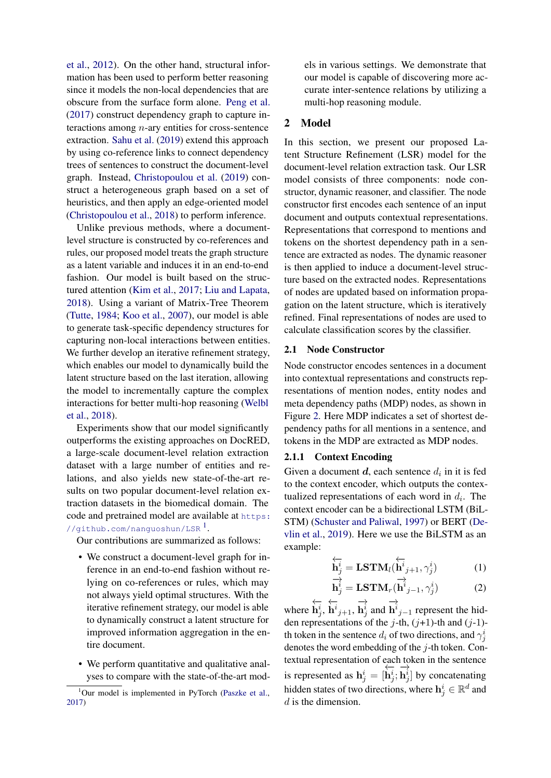[et al.,](#page-10-5) [2012\)](#page-10-5). On the other hand, structural information has been used to perform better reasoning since it models the non-local dependencies that are obscure from the surface form alone. [Peng et al.](#page-10-0) [\(2017\)](#page-10-0) construct dependency graph to capture interactions among  $n$ -ary entities for cross-sentence extraction. [Sahu et al.](#page-10-6) [\(2019\)](#page-10-6) extend this approach by using co-reference links to connect dependency trees of sentences to construct the document-level graph. Instead, [Christopoulou et al.](#page-9-2) [\(2019\)](#page-9-2) construct a heterogeneous graph based on a set of heuristics, and then apply an edge-oriented model [\(Christopoulou et al.,](#page-9-3) [2018\)](#page-9-3) to perform inference.

Unlike previous methods, where a documentlevel structure is constructed by co-references and rules, our proposed model treats the graph structure as a latent variable and induces it in an end-to-end fashion. Our model is built based on the structured attention [\(Kim et al.,](#page-9-4) [2017;](#page-9-4) [Liu and Lapata,](#page-9-5) [2018\)](#page-9-5). Using a variant of Matrix-Tree Theorem [\(Tutte,](#page-10-7) [1984;](#page-10-7) [Koo et al.,](#page-9-6) [2007\)](#page-9-6), our model is able to generate task-specific dependency structures for capturing non-local interactions between entities. We further develop an iterative refinement strategy, which enables our model to dynamically build the latent structure based on the last iteration, allowing the model to incrementally capture the complex interactions for better multi-hop reasoning [\(Welbl](#page-10-8) [et al.,](#page-10-8) [2018\)](#page-10-8).

Experiments show that our model significantly outperforms the existing approaches on DocRED, a large-scale document-level relation extraction dataset with a large number of entities and relations, and also yields new state-of-the-art results on two popular document-level relation extraction datasets in the biomedical domain. The code and pretrained model are available at [https:](https://github.com/nanguoshun/LSR)  $\frac{1}{\sqrt{2}}$  $\frac{1}{\sqrt{2}}$  $\frac{1}{\sqrt{2}}$  [//github.com/nanguoshun/LSR](https://github.com/nanguoshun/LSR)  $^1$ .

Our contributions are summarized as follows:

- We construct a document-level graph for inference in an end-to-end fashion without relying on co-references or rules, which may not always yield optimal structures. With the iterative refinement strategy, our model is able to dynamically construct a latent structure for improved information aggregation in the entire document.
- We perform quantitative and qualitative analyses to compare with the state-of-the-art mod-

els in various settings. We demonstrate that our model is capable of discovering more accurate inter-sentence relations by utilizing a multi-hop reasoning module.

# 2 Model

In this section, we present our proposed Latent Structure Refinement (LSR) model for the document-level relation extraction task. Our LSR model consists of three components: node constructor, dynamic reasoner, and classifier. The node constructor first encodes each sentence of an input document and outputs contextual representations. Representations that correspond to mentions and tokens on the shortest dependency path in a sentence are extracted as nodes. The dynamic reasoner is then applied to induce a document-level structure based on the extracted nodes. Representations of nodes are updated based on information propagation on the latent structure, which is iteratively refined. Final representations of nodes are used to calculate classification scores by the classifier.

# 2.1 Node Constructor

Node constructor encodes sentences in a document into contextual representations and constructs representations of mention nodes, entity nodes and meta dependency paths (MDP) nodes, as shown in Figure [2.](#page-2-0) Here MDP indicates a set of shortest dependency paths for all mentions in a sentence, and tokens in the MDP are extracted as MDP nodes.

# 2.1.1 Context Encoding

Given a document  $d$ , each sentence  $d_i$  in it is fed to the context encoder, which outputs the contextualized representations of each word in  $d_i$ . The context encoder can be a bidirectional LSTM (BiL-STM) [\(Schuster and Paliwal,](#page-10-10) [1997\)](#page-10-10) or BERT [\(De](#page-9-7)[vlin et al.,](#page-9-7) [2019\)](#page-9-7). Here we use the BiLSTM as an example:

$$
\overleftarrow{\mathbf{h}_{j}^{i}} = \mathbf{LSTM}_{l}(\overleftarrow{\mathbf{h}_{j+1}}^{i}, \gamma_{j}^{i})
$$
(1)

$$
\overrightarrow{\mathbf{h}_{j}^{i}} = \mathbf{LSTM}_{r}(\overrightarrow{\mathbf{h}}_{j-1}^{i}, \gamma_{j}^{i})
$$
 (2)

where ←−  $\dot{\mathbf{h}}^i_j,$ ←−  $\dot{\mathbf{h}}^{i}{}_{j+1},$ −→  $\mathbf{h}_j^i$  and −→  $h^{i}_{j-1}$  represent the hidden representations of the j-th,  $(j+1)$ -th and  $(j-1)$ th token in the sentence  $d_i$  of two directions, and  $\gamma_j^i$ denotes the word embedding of the  $i$ -th token. Contextual representation of each token in the sentence is represented as  $h_j^i = [$ ←−  $\mathbf{h}^i_j;$ −→  $\mathbf{h}_j^i$  by concatenating hidden states of two directions, where  $\mathbf{h}^i_j \in \mathbb{R}^d$  and d is the dimension.

<span id="page-1-0"></span> $1$ Our model is implemented in PyTorch [\(Paszke et al.,](#page-10-9) [2017\)](#page-10-9)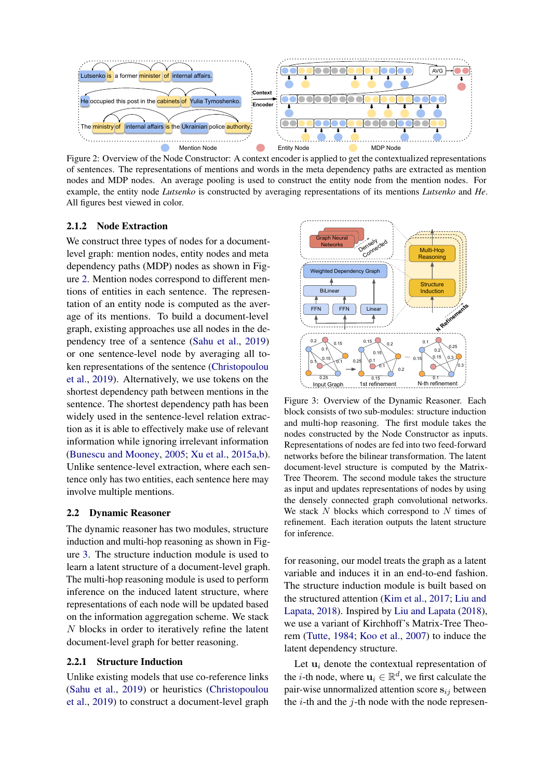<span id="page-2-0"></span>

Figure 2: Overview of the Node Constructor: A context encoder is applied to get the contextualized representations of sentences. The representations of mentions and words in the meta dependency paths are extracted as mention nodes and MDP nodes. An average pooling is used to construct the entity node from the mention nodes. For example, the entity node *Lutsenko* is constructed by averaging representations of its mentions *Lutsenko* and *He*. All figures best viewed in color.

## 2.1.2 Node Extraction

We construct three types of nodes for a documentlevel graph: mention nodes, entity nodes and meta dependency paths (MDP) nodes as shown in Figure [2.](#page-2-0) Mention nodes correspond to different mentions of entities in each sentence. The representation of an entity node is computed as the average of its mentions. To build a document-level graph, existing approaches use all nodes in the dependency tree of a sentence [\(Sahu et al.,](#page-10-6) [2019\)](#page-10-6) or one sentence-level node by averaging all token representations of the sentence [\(Christopoulou](#page-9-2) [et al.,](#page-9-2) [2019\)](#page-9-2). Alternatively, we use tokens on the shortest dependency path between mentions in the sentence. The shortest dependency path has been widely used in the sentence-level relation extraction as it is able to effectively make use of relevant information while ignoring irrelevant information [\(Bunescu and Mooney,](#page-9-8) [2005;](#page-9-8) [Xu et al.,](#page-11-1) [2015a](#page-11-1)[,b\)](#page-11-2). Unlike sentence-level extraction, where each sentence only has two entities, each sentence here may involve multiple mentions.

#### 2.2 Dynamic Reasoner

The dynamic reasoner has two modules, structure induction and multi-hop reasoning as shown in Figure [3.](#page-2-1) The structure induction module is used to learn a latent structure of a document-level graph. The multi-hop reasoning module is used to perform inference on the induced latent structure, where representations of each node will be updated based on the information aggregation scheme. We stack N blocks in order to iteratively refine the latent document-level graph for better reasoning.

## 2.2.1 Structure Induction

Unlike existing models that use co-reference links [\(Sahu et al.,](#page-10-6) [2019\)](#page-10-6) or heuristics [\(Christopoulou](#page-9-2) [et al.,](#page-9-2) [2019\)](#page-9-2) to construct a document-level graph

<span id="page-2-1"></span>

Figure 3: Overview of the Dynamic Reasoner. Each block consists of two sub-modules: structure induction and multi-hop reasoning. The first module takes the nodes constructed by the Node Constructor as inputs. Representations of nodes are fed into two feed-forward networks before the bilinear transformation. The latent document-level structure is computed by the Matrix-Tree Theorem. The second module takes the structure as input and updates representations of nodes by using the densely connected graph convolutional networks. We stack  $N$  blocks which correspond to  $N$  times of refinement. Each iteration outputs the latent structure for inference.

for reasoning, our model treats the graph as a latent variable and induces it in an end-to-end fashion. The structure induction module is built based on the structured attention [\(Kim et al.,](#page-9-4) [2017;](#page-9-4) [Liu and](#page-9-5) [Lapata,](#page-9-5) [2018\)](#page-9-5). Inspired by [Liu and Lapata](#page-9-5) [\(2018\)](#page-9-5), we use a variant of Kirchhoff's Matrix-Tree Theorem [\(Tutte,](#page-10-7) [1984;](#page-10-7) [Koo et al.,](#page-9-6) [2007\)](#page-9-6) to induce the latent dependency structure.

Let  $\mathbf{u}_i$  denote the contextual representation of the *i*-th node, where  $\mathbf{u}_i \in \mathbb{R}^d$ , we first calculate the pair-wise unnormalized attention score  $s_{ij}$  between the  $i$ -th and the  $j$ -th node with the node represen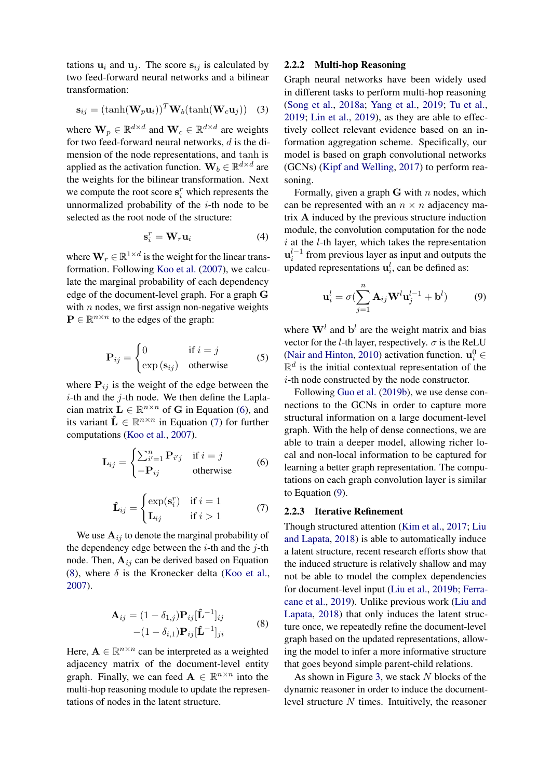tations  $\mathbf{u}_i$  and  $\mathbf{u}_j$ . The score  $\mathbf{s}_{ij}$  is calculated by two feed-forward neural networks and a bilinear transformation:

$$
\mathbf{s}_{ij} = (\tanh(\mathbf{W}_p \mathbf{u}_i))^T \mathbf{W}_b(\tanh(\mathbf{W}_c \mathbf{u}_j))
$$
 (3)

where  $\mathbf{W}_p \in \mathbb{R}^{d \times d}$  and  $\mathbf{W}_c \in \mathbb{R}^{d \times d}$  are weights for two feed-forward neural networks, d is the dimension of the node representations, and tanh is applied as the activation function.  $\mathbf{W}_b \in \mathbb{R}^{d \times d}$  are the weights for the bilinear transformation. Next we compute the root score  $\mathbf{s}_i^r$  which represents the unnormalized probability of the  $i$ -th node to be selected as the root node of the structure:

$$
\mathbf{s}_i^r = \mathbf{W}_r \mathbf{u}_i \tag{4}
$$

where  $\mathbf{W}_r \in \mathbb{R}^{1 \times d}$  is the weight for the linear transformation. Following [Koo et al.](#page-9-6) [\(2007\)](#page-9-6), we calculate the marginal probability of each dependency edge of the document-level graph. For a graph G with  $n$  nodes, we first assign non-negative weights  $\mathbf{P} \in \mathbb{R}^{n \times n}$  to the edges of the graph:

$$
\mathbf{P}_{ij} = \begin{cases} 0 & \text{if } i = j \\ \exp(\mathbf{s}_{ij}) & \text{otherwise} \end{cases}
$$
 (5)

where  $P_{ij}$  is the weight of the edge between the  $i$ -th and the  $j$ -th node. We then define the Laplacian matrix  $L \in \mathbb{R}^{n \times n}$  of G in Equation [\(6\)](#page-3-0), and its variant  $\hat{\mathbf{L}} \in \mathbb{R}^{n \times n}$  in Equation [\(7\)](#page-3-1) for further computations [\(Koo et al.,](#page-9-6) [2007\)](#page-9-6).

$$
\mathbf{L}_{ij} = \begin{cases} \sum_{i'=1}^{n} \mathbf{P}_{i'j} & \text{if } i = j \\ -\mathbf{P}_{ij} & \text{otherwise} \end{cases}
$$
 (6)

$$
\hat{\mathbf{L}}_{ij} = \begin{cases}\n\exp(\mathbf{s}_i^r) & \text{if } i = 1 \\
\mathbf{L}_{ij} & \text{if } i > 1\n\end{cases} (7)
$$

We use  $A_{ij}$  to denote the marginal probability of the dependency edge between the  $i$ -th and the  $j$ -th node. Then,  $A_{ij}$  can be derived based on Equation [\(8\)](#page-3-2), where  $\delta$  is the Kronecker delta [\(Koo et al.,](#page-9-6) [2007\)](#page-9-6).

$$
\mathbf{A}_{ij} = (1 - \delta_{1,j}) \mathbf{P}_{ij} [\mathbf{\hat{L}}^{-1}]_{ij}
$$
  
 
$$
- (1 - \delta_{i,1}) \mathbf{P}_{ij} [\mathbf{\hat{L}}^{-1}]_{ji}
$$
 (8)

Here,  $A \in \mathbb{R}^{n \times n}$  can be interpreted as a weighted adjacency matrix of the document-level entity graph. Finally, we can feed  $A \in \mathbb{R}^{n \times n}$  into the multi-hop reasoning module to update the representations of nodes in the latent structure.

# 2.2.2 Multi-hop Reasoning

Graph neural networks have been widely used in different tasks to perform multi-hop reasoning [\(Song et al.,](#page-10-11) [2018a;](#page-10-11) [Yang et al.,](#page-11-4) [2019;](#page-11-4) [Tu et al.,](#page-10-12) [2019;](#page-10-12) [Lin et al.,](#page-9-9) [2019\)](#page-9-9), as they are able to effectively collect relevant evidence based on an information aggregation scheme. Specifically, our model is based on graph convolutional networks (GCNs) [\(Kipf and Welling,](#page-9-10) [2017\)](#page-9-10) to perform reasoning.

Formally, given a graph  $G$  with n nodes, which can be represented with an  $n \times n$  adjacency matrix A induced by the previous structure induction module, the convolution computation for the node  $i$  at the  $l$ -th layer, which takes the representation  $\mathbf{u}_i^{l-1}$  from previous layer as input and outputs the updated representations  $\mathbf{u}_i^l$ , can be defined as:

<span id="page-3-3"></span>
$$
\mathbf{u}_i^l = \sigma \left( \sum_{j=1}^n \mathbf{A}_{ij} \mathbf{W}^l \mathbf{u}_j^{l-1} + \mathbf{b}^l \right) \tag{9}
$$

where  $\mathbf{W}^l$  and  $\mathbf{b}^l$  are the weight matrix and bias vector for the *l*-th layer, respectively.  $\sigma$  is the ReLU [\(Nair and Hinton,](#page-10-13) [2010\)](#page-10-13) activation function.  $\mathbf{u}_i^0 \in$  $\mathbb{R}^d$  is the initial contextual representation of the i-th node constructed by the node constructor.

Following [Guo et al.](#page-9-11) [\(2019b\)](#page-9-11), we use dense connections to the GCNs in order to capture more structural information on a large document-level graph. With the help of dense connections, we are able to train a deeper model, allowing richer local and non-local information to be captured for learning a better graph representation. The computations on each graph convolution layer is similar to Equation [\(9\)](#page-3-3).

# <span id="page-3-1"></span><span id="page-3-0"></span>2.2.3 Iterative Refinement

Though structured attention [\(Kim et al.,](#page-9-4) [2017;](#page-9-4) [Liu](#page-9-5) [and Lapata,](#page-9-5) [2018\)](#page-9-5) is able to automatically induce a latent structure, recent research efforts show that the induced structure is relatively shallow and may not be able to model the complex dependencies for document-level input [\(Liu et al.,](#page-9-12) [2019b;](#page-9-12) [Ferra](#page-9-13)[cane et al.,](#page-9-13) [2019\)](#page-9-13). Unlike previous work [\(Liu and](#page-9-5) [Lapata,](#page-9-5) [2018\)](#page-9-5) that only induces the latent structure once, we repeatedly refine the document-level graph based on the updated representations, allowing the model to infer a more informative structure that goes beyond simple parent-child relations.

<span id="page-3-2"></span>As shown in Figure [3,](#page-2-1) we stack  $N$  blocks of the dynamic reasoner in order to induce the documentlevel structure  $N$  times. Intuitively, the reasoner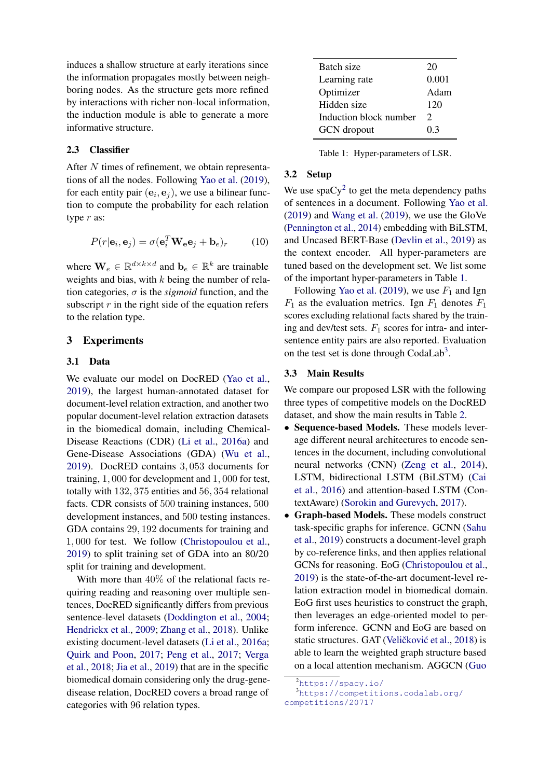induces a shallow structure at early iterations since the information propagates mostly between neighboring nodes. As the structure gets more refined by interactions with richer non-local information, the induction module is able to generate a more informative structure.

# 2.3 Classifier

After N times of refinement, we obtain representations of all the nodes. Following [Yao et al.](#page-11-3) [\(2019\)](#page-11-3), for each entity pair  $(e_i, e_j)$ , we use a bilinear function to compute the probability for each relation type r as:

$$
P(r|\mathbf{e}_i, \mathbf{e}_j) = \sigma(\mathbf{e}_i^T \mathbf{W}_e \mathbf{e}_j + \mathbf{b}_e)_r \tag{10}
$$

where  $\mathbf{W}_e \in \mathbb{R}^{d \times k \times d}$  and  $\mathbf{b}_e \in \mathbb{R}^k$  are trainable weights and bias, with  $k$  being the number of relation categories,  $\sigma$  is the *sigmoid* function, and the subscript  $r$  in the right side of the equation refers to the relation type.

# 3 Experiments

## 3.1 Data

We evaluate our model on DocRED [\(Yao et al.,](#page-11-3) [2019\)](#page-11-3), the largest human-annotated dataset for document-level relation extraction, and another two popular document-level relation extraction datasets in the biomedical domain, including Chemical-Disease Reactions (CDR) [\(Li et al.,](#page-9-14) [2016a\)](#page-9-14) and Gene-Disease Associations (GDA) [\(Wu et al.,](#page-11-5) [2019\)](#page-11-5). DocRED contains 3, 053 documents for training, 1, 000 for development and 1, 000 for test, totally with 132, 375 entities and 56, 354 relational facts. CDR consists of 500 training instances, 500 development instances, and 500 testing instances. GDA contains 29, 192 documents for training and 1, 000 for test. We follow [\(Christopoulou et al.,](#page-9-2) [2019\)](#page-9-2) to split training set of GDA into an 80/20 split for training and development.

With more than 40% of the relational facts requiring reading and reasoning over multiple sentences, DocRED significantly differs from previous sentence-level datasets [\(Doddington et al.,](#page-9-15) [2004;](#page-9-15) [Hendrickx et al.,](#page-9-16) [2009;](#page-9-16) [Zhang et al.,](#page-11-6) [2018\)](#page-11-6). Unlike existing document-level datasets [\(Li et al.,](#page-9-14) [2016a;](#page-9-14) [Quirk and Poon,](#page-10-1) [2017;](#page-10-1) [Peng et al.,](#page-10-0) [2017;](#page-10-0) [Verga](#page-10-3) [et al.,](#page-10-3) [2018;](#page-10-3) [Jia et al.,](#page-9-1) [2019\)](#page-9-1) that are in the specific biomedical domain considering only the drug-genedisease relation, DocRED covers a broad range of categories with 96 relation types.

<span id="page-4-1"></span>

| Batch size             | 20                    |
|------------------------|-----------------------|
| Learning rate          | 0.001                 |
| Optimizer              | Adam                  |
| Hidden size            | 120                   |
| Induction block number | $\mathcal{D}_{\cdot}$ |
| <b>GCN</b> dropout     | 03                    |

Table 1: Hyper-parameters of LSR.

#### 3.2 Setup

We use spa $Cy^2$  $Cy^2$  to get the meta dependency paths of sentences in a document. Following [Yao et al.](#page-11-3) [\(2019\)](#page-11-3) and [Wang et al.](#page-10-14) [\(2019\)](#page-10-14), we use the GloVe [\(Pennington et al.,](#page-10-15) [2014\)](#page-10-15) embedding with BiLSTM, and Uncased BERT-Base [\(Devlin et al.,](#page-9-7) [2019\)](#page-9-7) as the context encoder. All hyper-parameters are tuned based on the development set. We list some of the important hyper-parameters in Table [1.](#page-4-1)

Following [Yao et al.](#page-11-3) [\(2019\)](#page-11-3), we use  $F_1$  and Ign  $F_1$  as the evaluation metrics. Ign  $F_1$  denotes  $F_1$ scores excluding relational facts shared by the training and dev/test sets.  $F_1$  scores for intra- and intersentence entity pairs are also reported. Evaluation on the test set is done through CodaLab<sup>[3](#page-4-2)</sup>.

#### 3.3 Main Results

We compare our proposed LSR with the following three types of competitive models on the DocRED dataset, and show the main results in Table [2.](#page-5-0)

- Sequence-based Models. These models leverage different neural architectures to encode sentences in the document, including convolutional neural networks (CNN) [\(Zeng et al.,](#page-11-0) [2014\)](#page-11-0), LSTM, bidirectional LSTM (BiLSTM) [\(Cai](#page-9-17) [et al.,](#page-9-17) [2016\)](#page-9-17) and attention-based LSTM (ContextAware) [\(Sorokin and Gurevych,](#page-10-16) [2017\)](#page-10-16).
- Graph-based Models. These models construct task-specific graphs for inference. GCNN [\(Sahu](#page-10-6) [et al.,](#page-10-6) [2019\)](#page-10-6) constructs a document-level graph by co-reference links, and then applies relational GCNs for reasoning. EoG [\(Christopoulou et al.,](#page-9-2) [2019\)](#page-9-2) is the state-of-the-art document-level relation extraction model in biomedical domain. EoG first uses heuristics to construct the graph, then leverages an edge-oriented model to perform inference. GCNN and EoG are based on static structures. GAT (Veličković et al., [2018\)](#page-10-17) is able to learn the weighted graph structure based on a local attention mechanism. AGGCN [\(Guo](#page-9-18)

<span id="page-4-2"></span><span id="page-4-0"></span><sup>2</sup>[https://spacy.io/](#page-9-18)

<sup>3</sup>[https://competitions.codalab.org/](#page-9-18) [competitions/20717](#page-9-18)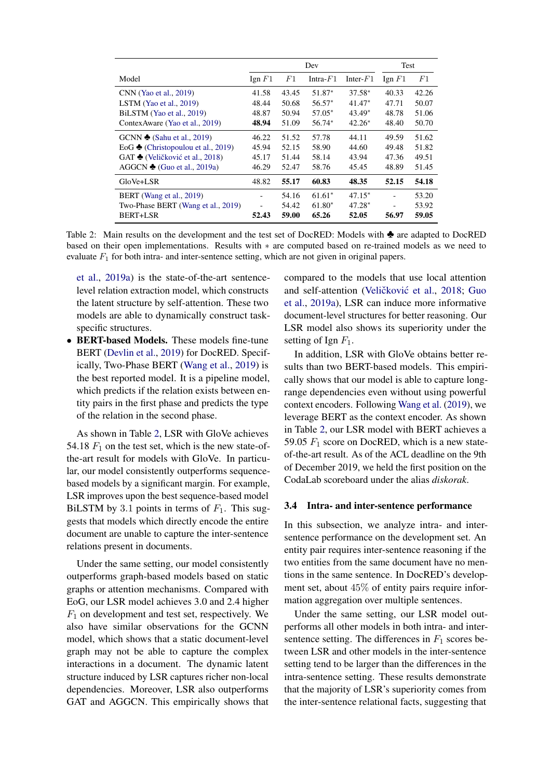<span id="page-5-0"></span>

|                                              | Dev              |       |             | Test        |                  |       |
|----------------------------------------------|------------------|-------|-------------|-------------|------------------|-------|
| Model                                        | $\text{Ign } F1$ | F1    | Intra- $F1$ | Inter- $F1$ | $\text{Ign } F1$ | F1    |
| CNN (Yao et al., 2019)                       | 41.58            | 43.45 | 51.87*      | $37.58*$    | 40.33            | 42.26 |
| LSTM (Yao et al., $2019$ )                   | 48.44            | 50.68 | $56.57*$    | $41.47*$    | 47.71            | 50.07 |
| BiLSTM (Yao et al., 2019)                    | 48.87            | 50.94 | 57.05*      | $43.49*$    | 48.78            | 51.06 |
| Contex Aware (Yao et al., 2019)              | 48.94            | 51.09 | 56.74*      | $42.26*$    | 48.40            | 50.70 |
| GCNN $\triangle$ (Sahu et al., 2019)         | 46.22            | 51.52 | 57.78       | 44.11       | 49.59            | 51.62 |
| EoG $\triangle$ (Christopoulou et al., 2019) | 45.94            | 52.15 | 58.90       | 44.60       | 49.48            | 51.82 |
| GAT ♦ (Veličković et al., 2018)              | 45.17            | 51.44 | 58.14       | 43.94       | 47.36            | 49.51 |
| AGGCN $\triangle$ (Guo et al., 2019a)        | 46.29            | 52.47 | 58.76       | 45.45       | 48.89            | 51.45 |
| GloVe+LSR                                    | 48.82            | 55.17 | 60.83       | 48.35       | 52.15            | 54.18 |
| BERT (Wang et al., 2019)                     |                  | 54.16 | $61.61*$    | $47.15*$    |                  | 53.20 |
| Two-Phase BERT (Wang et al., 2019)           |                  | 54.42 | $61.80*$    | $47.28*$    |                  | 53.92 |
| BERT+LSR                                     | 52.43            | 59.00 | 65.26       | 52.05       | 56.97            | 59.05 |

Table 2: Main results on the development and the test set of DocRED: Models with ♣ are adapted to DocRED based on their open implementations. Results with ∗ are computed based on re-trained models as we need to evaluate  $F_1$  for both intra- and inter-sentence setting, which are not given in original papers.

[et al.,](#page-9-18) [2019a\)](#page-9-18) is the state-of-the-art sentencelevel relation extraction model, which constructs the latent structure by self-attention. These two models are able to dynamically construct taskspecific structures.

• BERT-based Models. These models fine-tune BERT [\(Devlin et al.,](#page-9-7) [2019\)](#page-9-7) for DocRED. Specifically, Two-Phase BERT [\(Wang et al.,](#page-10-14) [2019\)](#page-10-14) is the best reported model. It is a pipeline model, which predicts if the relation exists between entity pairs in the first phase and predicts the type of the relation in the second phase.

As shown in Table [2,](#page-5-0) LSR with GloVe achieves 54.18  $F_1$  on the test set, which is the new state-ofthe-art result for models with GloVe. In particular, our model consistently outperforms sequencebased models by a significant margin. For example, LSR improves upon the best sequence-based model BiLSTM by 3.1 points in terms of  $F_1$ . This suggests that models which directly encode the entire document are unable to capture the inter-sentence relations present in documents.

Under the same setting, our model consistently outperforms graph-based models based on static graphs or attention mechanisms. Compared with EoG, our LSR model achieves 3.0 and 2.4 higher  $F_1$  on development and test set, respectively. We also have similar observations for the GCNN model, which shows that a static document-level graph may not be able to capture the complex interactions in a document. The dynamic latent structure induced by LSR captures richer non-local dependencies. Moreover, LSR also outperforms GAT and AGGCN. This empirically shows that compared to the models that use local attention and self-attention (Veličković et al., [2018;](#page-10-17) [Guo](#page-9-18) [et al.,](#page-9-18) [2019a\)](#page-9-18), LSR can induce more informative document-level structures for better reasoning. Our LSR model also shows its superiority under the setting of Ign  $F_1$ .

In addition, LSR with GloVe obtains better results than two BERT-based models. This empirically shows that our model is able to capture longrange dependencies even without using powerful context encoders. Following [Wang et al.](#page-10-14) [\(2019\)](#page-10-14), we leverage BERT as the context encoder. As shown in Table [2,](#page-5-0) our LSR model with BERT achieves a 59.05  $F_1$  score on DocRED, which is a new stateof-the-art result. As of the ACL deadline on the 9th of December 2019, we held the first position on the CodaLab scoreboard under the alias *diskorak*.

#### 3.4 Intra- and inter-sentence performance

In this subsection, we analyze intra- and intersentence performance on the development set. An entity pair requires inter-sentence reasoning if the two entities from the same document have no mentions in the same sentence. In DocRED's development set, about 45% of entity pairs require information aggregation over multiple sentences.

Under the same setting, our LSR model outperforms all other models in both intra- and intersentence setting. The differences in  $F_1$  scores between LSR and other models in the inter-sentence setting tend to be larger than the differences in the intra-sentence setting. These results demonstrate that the majority of LSR's superiority comes from the inter-sentence relational facts, suggesting that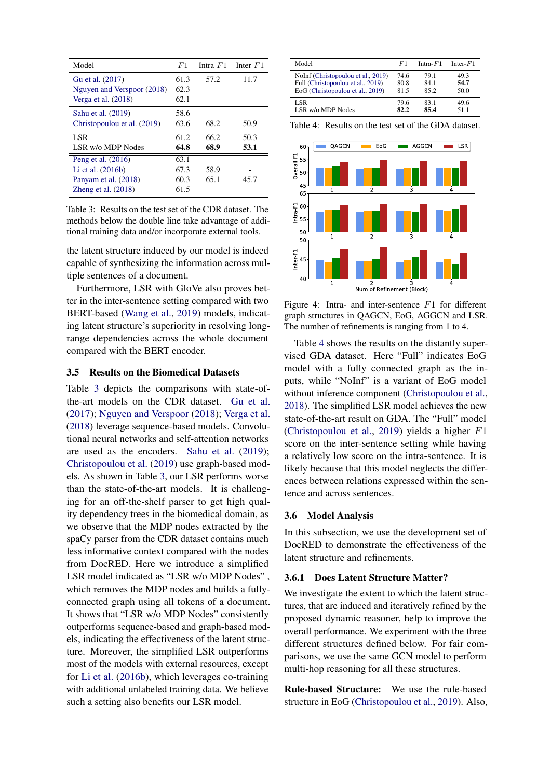<span id="page-6-0"></span>

| Model                       | F <sub>1</sub> | Intra- $F1$ | Inter- $F1$ |
|-----------------------------|----------------|-------------|-------------|
| Gu et al. (2017)            | 61.3           | 57.2        | 11.7        |
| Nguyen and Verspoor (2018)  | 62.3           |             |             |
| Verga et al. $(2018)$       | 62.1           |             |             |
| Sahu et al. (2019)          | 58.6           |             |             |
| Christopoulou et al. (2019) | 63.6           | 68.2        | 50.9        |
| LSR.                        | 61.2           | 66.2        | 50.3        |
| LSR w/o MDP Nodes           | 64.8           | 68.9        | 53.1        |
| Peng et al. $(2016)$        | 63.1           |             |             |
| Li et al. $(2016b)$         | 67.3           | 58.9        |             |
| Panyam et al. (2018)        | 60.3           | 65.1        | 45.7        |
| Zheng et al. $(2018)$       | 61.5           |             |             |

Table 3: Results on the test set of the CDR dataset. The methods below the double line take advantage of additional training data and/or incorporate external tools.

the latent structure induced by our model is indeed capable of synthesizing the information across multiple sentences of a document.

Furthermore, LSR with GloVe also proves better in the inter-sentence setting compared with two BERT-based [\(Wang et al.,](#page-10-14) [2019\)](#page-10-14) models, indicating latent structure's superiority in resolving longrange dependencies across the whole document compared with the BERT encoder.

#### 3.5 Results on the Biomedical Datasets

Table [3](#page-6-0) depicts the comparisons with state-ofthe-art models on the CDR dataset. [Gu et al.](#page-9-19) [\(2017\)](#page-9-19); [Nguyen and Verspoor](#page-10-18) [\(2018\)](#page-10-18); [Verga et al.](#page-10-3) [\(2018\)](#page-10-3) leverage sequence-based models. Convolutional neural networks and self-attention networks are used as the encoders. [Sahu et al.](#page-10-6) [\(2019\)](#page-10-6); [Christopoulou et al.](#page-9-2) [\(2019\)](#page-9-2) use graph-based models. As shown in Table [3,](#page-6-0) our LSR performs worse than the state-of-the-art models. It is challenging for an off-the-shelf parser to get high quality dependency trees in the biomedical domain, as we observe that the MDP nodes extracted by the spaCy parser from the CDR dataset contains much less informative context compared with the nodes from DocRED. Here we introduce a simplified LSR model indicated as "LSR w/o MDP Nodes" , which removes the MDP nodes and builds a fullyconnected graph using all tokens of a document. It shows that "LSR w/o MDP Nodes" consistently outperforms sequence-based and graph-based models, indicating the effectiveness of the latent structure. Moreover, the simplified LSR outperforms most of the models with external resources, except for [Li et al.](#page-9-20) [\(2016b\)](#page-9-20), which leverages co-training with additional unlabeled training data. We believe such a setting also benefits our LSR model.

<span id="page-6-1"></span>

| Model                              | F1   | Intra- $F1$ | Inter- $F1$ |
|------------------------------------|------|-------------|-------------|
| NoInf (Christopoulou et al., 2019) | 74.6 | 79.1        | 49.3        |
| Full (Christopoulou et al., 2019)  | 80.8 | 84 1        | 54.7        |
| EoG (Christopoulou et al., 2019)   | 81.5 | 85.2        | 50.0        |
| LSR                                | 79.6 | 831         | 49 6        |
| LSR w/o MDP Nodes                  | 82.2 | 85.4        | 51 1        |

Table 4: Results on the test set of the GDA dataset.

<span id="page-6-2"></span>

Figure 4: Intra- and inter-sentence F1 for different graph structures in QAGCN, EoG, AGGCN and LSR. The number of refinements is ranging from 1 to 4.

Table [4](#page-6-1) shows the results on the distantly supervised GDA dataset. Here "Full" indicates EoG model with a fully connected graph as the inputs, while "NoInf" is a variant of EoG model without inference component [\(Christopoulou et al.,](#page-9-3) [2018\)](#page-9-3). The simplified LSR model achieves the new state-of-the-art result on GDA. The "Full" model [\(Christopoulou et al.,](#page-9-2) [2019\)](#page-9-2) yields a higher F1 score on the inter-sentence setting while having a relatively low score on the intra-sentence. It is likely because that this model neglects the differences between relations expressed within the sentence and across sentences.

#### 3.6 Model Analysis

In this subsection, we use the development set of DocRED to demonstrate the effectiveness of the latent structure and refinements.

#### 3.6.1 Does Latent Structure Matter?

We investigate the extent to which the latent structures, that are induced and iteratively refined by the proposed dynamic reasoner, help to improve the overall performance. We experiment with the three different structures defined below. For fair comparisons, we use the same GCN model to perform multi-hop reasoning for all these structures.

Rule-based Structure: We use the rule-based structure in EoG [\(Christopoulou et al.,](#page-9-2) [2019\)](#page-9-2). Also,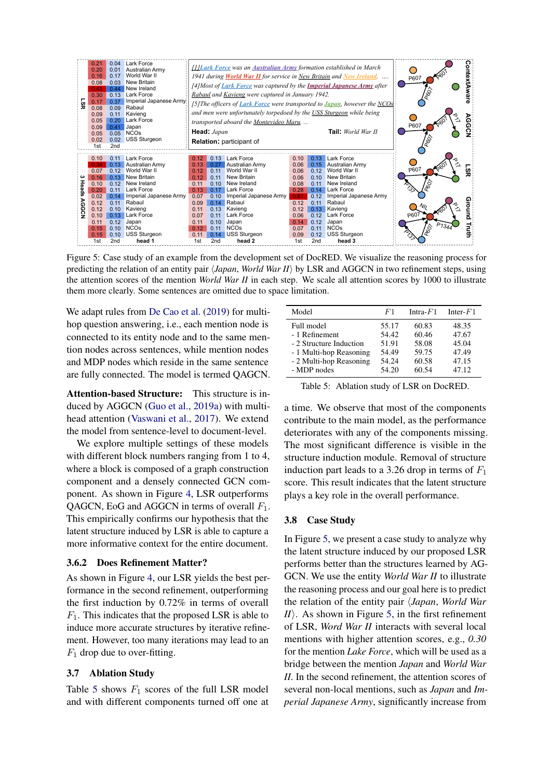<span id="page-7-1"></span>

Figure 5: Case study of an example from the development set of DocRED. We visualize the reasoning process for predicting the relation of an entity pair  $\langle Japan, World War II \rangle$  by LSR and AGGCN in two refinement steps, using the attention scores of the mention *World War II* in each step. We scale all attention scores by 1000 to illustrate them more clearly. Some sentences are omitted due to space limitation.

We adapt rules from [De Cao et al.](#page-9-21) [\(2019\)](#page-9-21) for multihop question answering, i.e., each mention node is connected to its entity node and to the same mention nodes across sentences, while mention nodes and MDP nodes which reside in the same sentence are fully connected. The model is termed QAGCN.

Attention-based Structure: This structure is induced by AGGCN [\(Guo et al.,](#page-9-18) [2019a\)](#page-9-18) with multihead attention [\(Vaswani et al.,](#page-10-21) [2017\)](#page-10-21). We extend the model from sentence-level to document-level.

We explore multiple settings of these models with different block numbers ranging from 1 to 4, where a block is composed of a graph construction component and a densely connected GCN component. As shown in Figure [4,](#page-6-2) LSR outperforms QAGCN, EoG and AGGCN in terms of overall  $F_1$ . This empirically confirms our hypothesis that the latent structure induced by LSR is able to capture a more informative context for the entire document.

### 3.6.2 Does Refinement Matter?

As shown in Figure [4,](#page-6-2) our LSR yields the best performance in the second refinement, outperforming the first induction by 0.72% in terms of overall  $F_1$ . This indicates that the proposed LSR is able to induce more accurate structures by iterative refinement. However, too many iterations may lead to an  $F_1$  drop due to over-fitting.

#### 3.7 Ablation Study

Table [5](#page-7-0) shows  $F_1$  scores of the full LSR model and with different components turned off one at

<span id="page-7-0"></span>

| Model                                                                              | F1                                        | Intra- $F1$                               | Inter- $F1$                               |
|------------------------------------------------------------------------------------|-------------------------------------------|-------------------------------------------|-------------------------------------------|
| Full model<br>- 1 Refinement<br>- 2 Structure Induction<br>- 1 Multi-hop Reasoning | 55.17<br>54.42<br>51.91<br>54.49<br>54.24 | 60.83<br>60.46<br>58.08<br>59.75<br>60.58 | 48.35<br>47.67<br>45.04<br>47.49<br>47.15 |
| - 2 Multi-hop Reasoning<br>- MDP nodes                                             | 54.20                                     | 60.54                                     | 47.12                                     |

Table 5: Ablation study of LSR on DocRED.

a time. We observe that most of the components contribute to the main model, as the performance deteriorates with any of the components missing. The most significant difference is visible in the structure induction module. Removal of structure induction part leads to a 3.26 drop in terms of  $F_1$ score. This result indicates that the latent structure plays a key role in the overall performance.

#### 3.8 Case Study

In Figure [5,](#page-7-1) we present a case study to analyze why the latent structure induced by our proposed LSR performs better than the structures learned by AG-GCN. We use the entity *World War II* to illustrate the reasoning process and our goal here is to predict the relation of the entity pair h*Japan*, *World War*  $I/I$ ). As shown in Figure [5,](#page-7-1) in the first refinement of LSR, *Word War II* interacts with several local mentions with higher attention scores, e.g., *0.30* for the mention *Lake Force*, which will be used as a bridge between the mention *Japan* and *World War II*. In the second refinement, the attention scores of several non-local mentions, such as *Japan* and *Imperial Japanese Army*, significantly increase from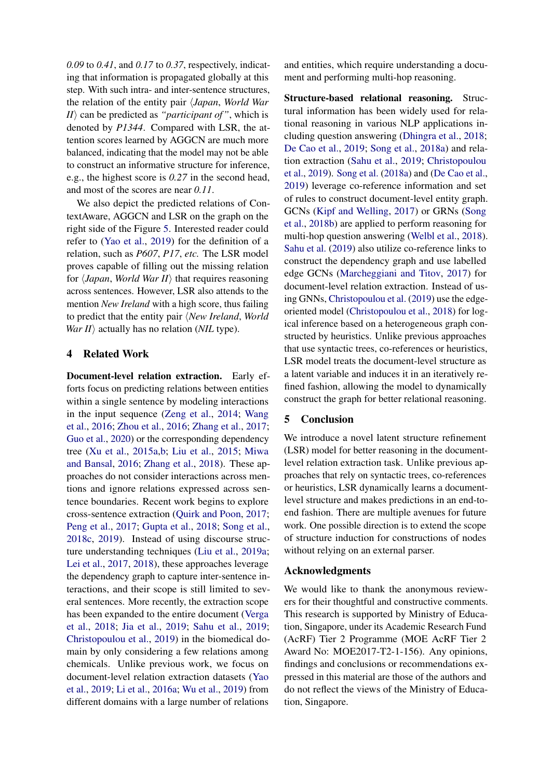*0.09* to *0.41*, and *0.17* to *0.37*, respectively, indicating that information is propagated globally at this step. With such intra- and inter-sentence structures, the relation of the entity pair h*Japan*, *World War*  $I/I\rangle$  can be predicted as *"participant of"*, which is denoted by *P1344*. Compared with LSR, the attention scores learned by AGGCN are much more balanced, indicating that the model may not be able to construct an informative structure for inference, e.g., the highest score is *0.27* in the second head, and most of the scores are near *0.11*.

We also depict the predicted relations of ContextAware, AGGCN and LSR on the graph on the right side of the Figure [5.](#page-7-1) Interested reader could refer to [\(Yao et al.,](#page-11-3) [2019\)](#page-11-3) for the definition of a relation, such as *P607*, *P17*, *etc.* The LSR model proves capable of filling out the missing relation for  $\langle Japan, World War II \rangle$  that requires reasoning across sentences. However, LSR also attends to the mention *New Ireland* with a high score, thus failing to predict that the entity pair *\New Ireland*, *World War II* $\rangle$  actually has no relation (*NIL* type).

# 4 Related Work

Document-level relation extraction. Early efforts focus on predicting relations between entities within a single sentence by modeling interactions in the input sequence [\(Zeng et al.,](#page-11-0) [2014;](#page-11-0) [Wang](#page-10-22) [et al.,](#page-10-22) [2016;](#page-10-22) [Zhou et al.,](#page-11-8) [2016;](#page-11-8) [Zhang et al.,](#page-11-9) [2017;](#page-11-9) [Guo et al.,](#page-9-22) [2020\)](#page-9-22) or the corresponding dependency tree [\(Xu et al.,](#page-11-1) [2015a](#page-11-1)[,b;](#page-11-2) [Liu et al.,](#page-10-23) [2015;](#page-10-23) [Miwa](#page-10-24) [and Bansal,](#page-10-24) [2016;](#page-10-24) [Zhang et al.,](#page-11-6) [2018\)](#page-11-6). These approaches do not consider interactions across mentions and ignore relations expressed across sentence boundaries. Recent work begins to explore cross-sentence extraction [\(Quirk and Poon,](#page-10-1) [2017;](#page-10-1) [Peng et al.,](#page-10-0) [2017;](#page-10-0) [Gupta et al.,](#page-9-0) [2018;](#page-9-0) [Song et al.,](#page-10-25) [2018c,](#page-10-25) [2019\)](#page-10-2). Instead of using discourse structure understanding techniques [\(Liu et al.,](#page-9-23) [2019a;](#page-9-23) [Lei et al.,](#page-9-24) [2017,](#page-9-24) [2018\)](#page-9-25), these approaches leverage the dependency graph to capture inter-sentence interactions, and their scope is still limited to several sentences. More recently, the extraction scope has been expanded to the entire document [\(Verga](#page-10-3) [et al.,](#page-10-3) [2018;](#page-10-3) [Jia et al.,](#page-9-1) [2019;](#page-9-1) [Sahu et al.,](#page-10-6) [2019;](#page-10-6) [Christopoulou et al.,](#page-9-2) [2019\)](#page-9-2) in the biomedical domain by only considering a few relations among chemicals. Unlike previous work, we focus on document-level relation extraction datasets [\(Yao](#page-11-3) [et al.,](#page-11-3) [2019;](#page-11-3) [Li et al.,](#page-9-14) [2016a;](#page-9-14) [Wu et al.,](#page-11-5) [2019\)](#page-11-5) from different domains with a large number of relations and entities, which require understanding a document and performing multi-hop reasoning.

Structure-based relational reasoning. Structural information has been widely used for relational reasoning in various NLP applications including question answering [\(Dhingra et al.,](#page-9-26) [2018;](#page-9-26) [De Cao et al.,](#page-9-21) [2019;](#page-9-21) [Song et al.,](#page-10-11) [2018a\)](#page-10-11) and relation extraction [\(Sahu et al.,](#page-10-6) [2019;](#page-10-6) [Christopoulou](#page-9-2) [et al.,](#page-9-2) [2019\)](#page-9-2). [Song et al.](#page-10-11) [\(2018a\)](#page-10-11) and [\(De Cao et al.,](#page-9-21) [2019\)](#page-9-21) leverage co-reference information and set of rules to construct document-level entity graph. GCNs [\(Kipf and Welling,](#page-9-10) [2017\)](#page-9-10) or GRNs [\(Song](#page-10-26) [et al.,](#page-10-26) [2018b\)](#page-10-26) are applied to perform reasoning for multi-hop question answering [\(Welbl et al.,](#page-10-8) [2018\)](#page-10-8). [Sahu et al.](#page-10-6) [\(2019\)](#page-10-6) also utilize co-reference links to construct the dependency graph and use labelled edge GCNs [\(Marcheggiani and Titov,](#page-10-27) [2017\)](#page-10-27) for document-level relation extraction. Instead of using GNNs, [Christopoulou et al.](#page-9-2) [\(2019\)](#page-9-2) use the edgeoriented model [\(Christopoulou et al.,](#page-9-3) [2018\)](#page-9-3) for logical inference based on a heterogeneous graph constructed by heuristics. Unlike previous approaches that use syntactic trees, co-references or heuristics, LSR model treats the document-level structure as a latent variable and induces it in an iteratively refined fashion, allowing the model to dynamically construct the graph for better relational reasoning.

# 5 Conclusion

We introduce a novel latent structure refinement (LSR) model for better reasoning in the documentlevel relation extraction task. Unlike previous approaches that rely on syntactic trees, co-references or heuristics, LSR dynamically learns a documentlevel structure and makes predictions in an end-toend fashion. There are multiple avenues for future work. One possible direction is to extend the scope of structure induction for constructions of nodes without relying on an external parser.

# Acknowledgments

We would like to thank the anonymous reviewers for their thoughtful and constructive comments. This research is supported by Ministry of Education, Singapore, under its Academic Research Fund (AcRF) Tier 2 Programme (MOE AcRF Tier 2 Award No: MOE2017-T2-1-156). Any opinions, findings and conclusions or recommendations expressed in this material are those of the authors and do not reflect the views of the Ministry of Education, Singapore.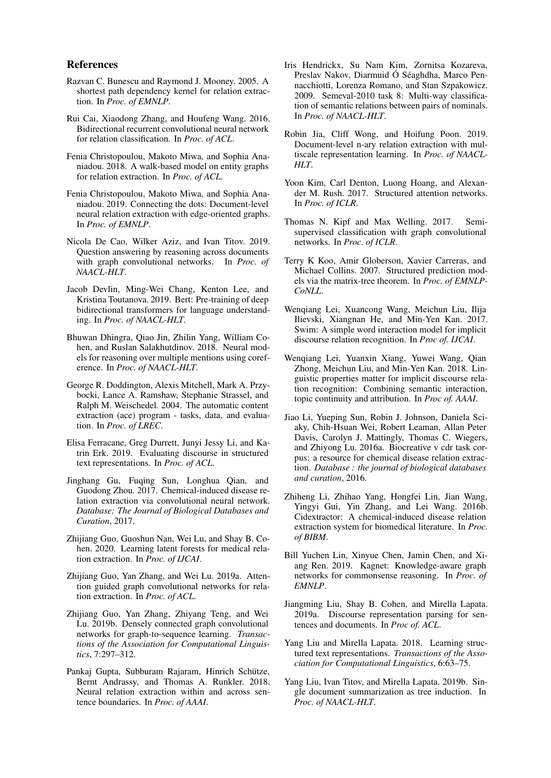#### References

- <span id="page-9-8"></span>Razvan C. Bunescu and Raymond J. Mooney. 2005. A shortest path dependency kernel for relation extraction. In *Proc. of EMNLP*.
- <span id="page-9-17"></span>Rui Cai, Xiaodong Zhang, and Houfeng Wang. 2016. Bidirectional recurrent convolutional neural network for relation classification. In *Proc. of ACL*.
- <span id="page-9-3"></span>Fenia Christopoulou, Makoto Miwa, and Sophia Ananiadou. 2018. A walk-based model on entity graphs for relation extraction. In *Proc. of ACL*.
- <span id="page-9-2"></span>Fenia Christopoulou, Makoto Miwa, and Sophia Ananiadou. 2019. Connecting the dots: Document-level neural relation extraction with edge-oriented graphs. In *Proc. of EMNLP*.
- <span id="page-9-21"></span>Nicola De Cao, Wilker Aziz, and Ivan Titov. 2019. Question answering by reasoning across documents with graph convolutional networks. In *Proc. of NAACL-HLT*.
- <span id="page-9-7"></span>Jacob Devlin, Ming-Wei Chang, Kenton Lee, and Kristina Toutanova. 2019. Bert: Pre-training of deep bidirectional transformers for language understanding. In *Proc. of NAACL-HLT*.
- <span id="page-9-26"></span>Bhuwan Dhingra, Qiao Jin, Zhilin Yang, William Cohen, and Ruslan Salakhutdinov. 2018. Neural models for reasoning over multiple mentions using coreference. In *Proc. of NAACL-HLT*.
- <span id="page-9-15"></span>George R. Doddington, Alexis Mitchell, Mark A. Przybocki, Lance A. Ramshaw, Stephanie Strassel, and Ralph M. Weischedel. 2004. The automatic content extraction (ace) program - tasks, data, and evaluation. In *Proc. of LREC*.
- <span id="page-9-13"></span>Elisa Ferracane, Greg Durrett, Junyi Jessy Li, and Katrin Erk. 2019. Evaluating discourse in structured text representations. In *Proc. of ACL*.
- <span id="page-9-19"></span>Jinghang Gu, Fuqing Sun, Longhua Qian, and Guodong Zhou. 2017. Chemical-induced disease relation extraction via convolutional neural network. *Database: The Journal of Biological Databases and Curation*, 2017.
- <span id="page-9-22"></span>Zhijiang Guo, Guoshun Nan, Wei Lu, and Shay B. Cohen. 2020. Learning latent forests for medical relation extraction. In *Proc. of IJCAI*.
- <span id="page-9-18"></span>Zhijiang Guo, Yan Zhang, and Wei Lu. 2019a. Attention guided graph convolutional networks for relation extraction. In *Proc. of ACL*.
- <span id="page-9-11"></span>Zhijiang Guo, Yan Zhang, Zhiyang Teng, and Wei Lu. 2019b. Densely connected graph convolutional networks for graph-to-sequence learning. *Transactions of the Association for Computational Linguistics*, 7:297–312.
- <span id="page-9-0"></span>Pankaj Gupta, Subburam Rajaram, Hinrich Schütze, Bernt Andrassy, and Thomas A. Runkler. 2018. Neural relation extraction within and across sentence boundaries. In *Proc. of AAAI*.
- <span id="page-9-16"></span>Iris Hendrickx, Su Nam Kim, Zornitsa Kozareva, Preslav Nakov, Diarmuid Ó Séaghdha, Marco Pennacchiotti, Lorenza Romano, and Stan Szpakowicz. 2009. Semeval-2010 task 8: Multi-way classification of semantic relations between pairs of nominals. In *Proc. of NAACL-HLT*.
- <span id="page-9-1"></span>Robin Jia, Cliff Wong, and Hoifung Poon. 2019. Document-level n-ary relation extraction with multiscale representation learning. In *Proc. of NAACL-HLT*.
- <span id="page-9-4"></span>Yoon Kim, Carl Denton, Luong Hoang, and Alexander M. Rush. 2017. Structured attention networks. In *Proc. of ICLR*.
- <span id="page-9-10"></span>Thomas N. Kipf and Max Welling. 2017. Semisupervised classification with graph convolutional networks. In *Proc. of ICLR*.
- <span id="page-9-6"></span>Terry K Koo, Amir Globerson, Xavier Carreras, and Michael Collins. 2007. Structured prediction models via the matrix-tree theorem. In *Proc. of EMNLP-CoNLL*.
- <span id="page-9-24"></span>Wenqiang Lei, Xuancong Wang, Meichun Liu, Ilija Ilievski, Xiangnan He, and Min-Yen Kan. 2017. Swim: A simple word interaction model for implicit discourse relation recognition. In *Proc of. IJCAI*.
- <span id="page-9-25"></span>Wenqiang Lei, Yuanxin Xiang, Yuwei Wang, Qian Zhong, Meichun Liu, and Min-Yen Kan. 2018. Linguistic properties matter for implicit discourse relation recognition: Combining semantic interaction, topic continuity and attribution. In *Proc of. AAAI*.
- <span id="page-9-14"></span>Jiao Li, Yueping Sun, Robin J. Johnson, Daniela Sciaky, Chih-Hsuan Wei, Robert Leaman, Allan Peter Davis, Carolyn J. Mattingly, Thomas C. Wiegers, and Zhiyong Lu. 2016a. Biocreative v cdr task corpus: a resource for chemical disease relation extraction. *Database : the journal of biological databases and curation*, 2016.
- <span id="page-9-20"></span>Zhiheng Li, Zhihao Yang, Hongfei Lin, Jian Wang, Yingyi Gui, Yin Zhang, and Lei Wang. 2016b. Cidextractor: A chemical-induced disease relation extraction system for biomedical literature. In *Proc. of BIBM*.
- <span id="page-9-9"></span>Bill Yuchen Lin, Xinyue Chen, Jamin Chen, and Xiang Ren. 2019. Kagnet: Knowledge-aware graph networks for commonsense reasoning. In *Proc. of EMNLP*.
- <span id="page-9-23"></span>Jiangming Liu, Shay B. Cohen, and Mirella Lapata. 2019a. Discourse representation parsing for sentences and documents. In *Proc of. ACL*.
- <span id="page-9-5"></span>Yang Liu and Mirella Lapata. 2018. Learning structured text representations. *Transactions of the Association for Computational Linguistics*, 6:63–75.
- <span id="page-9-12"></span>Yang Liu, Ivan Titov, and Mirella Lapata. 2019b. Single document summarization as tree induction. In *Proc. of NAACL-HLT*.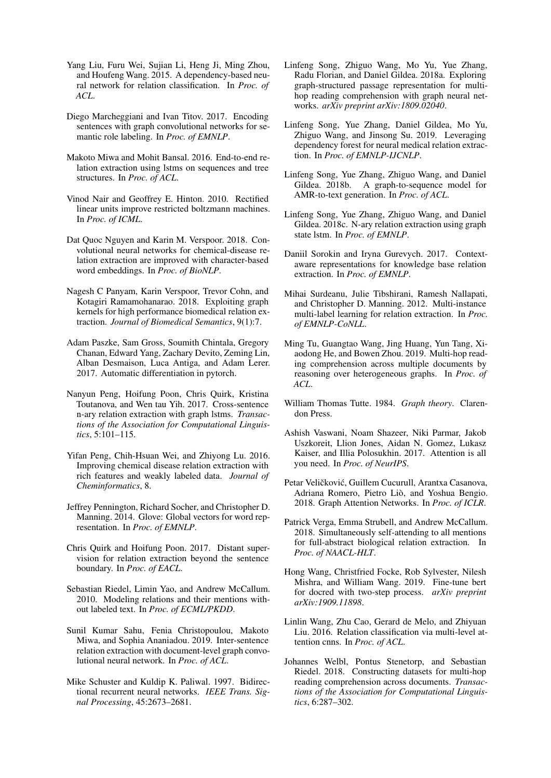- <span id="page-10-23"></span>Yang Liu, Furu Wei, Sujian Li, Heng Ji, Ming Zhou, and Houfeng Wang. 2015. A dependency-based neural network for relation classification. In *Proc. of ACL*.
- <span id="page-10-27"></span>Diego Marcheggiani and Ivan Titov. 2017. Encoding sentences with graph convolutional networks for semantic role labeling. In *Proc. of EMNLP*.
- <span id="page-10-24"></span>Makoto Miwa and Mohit Bansal. 2016. End-to-end relation extraction using lstms on sequences and tree structures. In *Proc. of ACL*.
- <span id="page-10-13"></span>Vinod Nair and Geoffrey E. Hinton. 2010. Rectified linear units improve restricted boltzmann machines. In *Proc. of ICML*.
- <span id="page-10-18"></span>Dat Quoc Nguyen and Karin M. Verspoor. 2018. Convolutional neural networks for chemical-disease relation extraction are improved with character-based word embeddings. In *Proc. of BioNLP*.
- <span id="page-10-20"></span>Nagesh C Panyam, Karin Verspoor, Trevor Cohn, and Kotagiri Ramamohanarao. 2018. Exploiting graph kernels for high performance biomedical relation extraction. *Journal of Biomedical Semantics*, 9(1):7.
- <span id="page-10-9"></span>Adam Paszke, Sam Gross, Soumith Chintala, Gregory Chanan, Edward Yang, Zachary Devito, Zeming Lin, Alban Desmaison, Luca Antiga, and Adam Lerer. 2017. Automatic differentiation in pytorch.
- <span id="page-10-0"></span>Nanyun Peng, Hoifung Poon, Chris Quirk, Kristina Toutanova, and Wen tau Yih. 2017. Cross-sentence n-ary relation extraction with graph lstms. *Transactions of the Association for Computational Linguistics*, 5:101–115.
- <span id="page-10-19"></span>Yifan Peng, Chih-Hsuan Wei, and Zhiyong Lu. 2016. Improving chemical disease relation extraction with rich features and weakly labeled data. *Journal of Cheminformatics*, 8.
- <span id="page-10-15"></span>Jeffrey Pennington, Richard Socher, and Christopher D. Manning. 2014. Glove: Global vectors for word representation. In *Proc. of EMNLP*.
- <span id="page-10-1"></span>Chris Quirk and Hoifung Poon. 2017. Distant supervision for relation extraction beyond the sentence boundary. In *Proc. of EACL*.
- <span id="page-10-4"></span>Sebastian Riedel, Limin Yao, and Andrew McCallum. 2010. Modeling relations and their mentions without labeled text. In *Proc. of ECML/PKDD*.
- <span id="page-10-6"></span>Sunil Kumar Sahu, Fenia Christopoulou, Makoto Miwa, and Sophia Ananiadou. 2019. Inter-sentence relation extraction with document-level graph convolutional neural network. In *Proc. of ACL*.
- <span id="page-10-10"></span>Mike Schuster and Kuldip K. Paliwal. 1997. Bidirectional recurrent neural networks. *IEEE Trans. Signal Processing*, 45:2673–2681.
- <span id="page-10-11"></span>Linfeng Song, Zhiguo Wang, Mo Yu, Yue Zhang, Radu Florian, and Daniel Gildea. 2018a. Exploring graph-structured passage representation for multihop reading comprehension with graph neural networks. *arXiv preprint arXiv:1809.02040*.
- <span id="page-10-2"></span>Linfeng Song, Yue Zhang, Daniel Gildea, Mo Yu, Zhiguo Wang, and Jinsong Su. 2019. Leveraging dependency forest for neural medical relation extraction. In *Proc. of EMNLP-IJCNLP*.
- <span id="page-10-26"></span>Linfeng Song, Yue Zhang, Zhiguo Wang, and Daniel Gildea. 2018b. A graph-to-sequence model for AMR-to-text generation. In *Proc. of ACL*.
- <span id="page-10-25"></span>Linfeng Song, Yue Zhang, Zhiguo Wang, and Daniel Gildea. 2018c. N-ary relation extraction using graph state lstm. In *Proc. of EMNLP*.
- <span id="page-10-16"></span>Daniil Sorokin and Iryna Gurevych. 2017. Contextaware representations for knowledge base relation extraction. In *Proc. of EMNLP*.
- <span id="page-10-5"></span>Mihai Surdeanu, Julie Tibshirani, Ramesh Nallapati, and Christopher D. Manning. 2012. Multi-instance multi-label learning for relation extraction. In *Proc. of EMNLP-CoNLL*.
- <span id="page-10-12"></span>Ming Tu, Guangtao Wang, Jing Huang, Yun Tang, Xiaodong He, and Bowen Zhou. 2019. Multi-hop reading comprehension across multiple documents by reasoning over heterogeneous graphs. In *Proc. of ACL*.
- <span id="page-10-7"></span>William Thomas Tutte. 1984. *Graph theory*. Clarendon Press.
- <span id="page-10-21"></span>Ashish Vaswani, Noam Shazeer, Niki Parmar, Jakob Uszkoreit, Llion Jones, Aidan N. Gomez, Lukasz Kaiser, and Illia Polosukhin. 2017. Attention is all you need. In *Proc. of NeurIPS*.
- <span id="page-10-17"></span>Petar Veličković, Guillem Cucurull, Arantxa Casanova, Adriana Romero, Pietro Liò, and Yoshua Bengio. 2018. Graph Attention Networks. In *Proc. of ICLR*.
- <span id="page-10-3"></span>Patrick Verga, Emma Strubell, and Andrew McCallum. 2018. Simultaneously self-attending to all mentions for full-abstract biological relation extraction. In *Proc. of NAACL-HLT*.
- <span id="page-10-14"></span>Hong Wang, Christfried Focke, Rob Sylvester, Nilesh Mishra, and William Wang. 2019. Fine-tune bert for docred with two-step process. *arXiv preprint arXiv:1909.11898*.
- <span id="page-10-22"></span>Linlin Wang, Zhu Cao, Gerard de Melo, and Zhiyuan Liu. 2016. Relation classification via multi-level attention cnns. In *Proc. of ACL*.
- <span id="page-10-8"></span>Johannes Welbl, Pontus Stenetorp, and Sebastian Riedel. 2018. Constructing datasets for multi-hop reading comprehension across documents. *Transactions of the Association for Computational Linguistics*, 6:287–302.